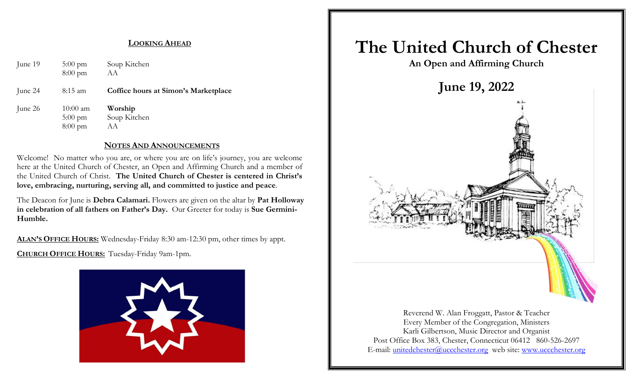#### **LOOKING AHEAD**

| June 19 | $5:00 \text{ pm}$<br>$8:00 \text{ pm}$                       | Soup Kitchen<br>AA                   |
|---------|--------------------------------------------------------------|--------------------------------------|
| June 24 | $8:15$ am                                                    | Coffice hours at Simon's Marketplace |
| June 26 | $10:00 \text{ am}$<br>$5:00 \text{ pm}$<br>$8:00 \text{ pm}$ | Worship<br>Soup Kitchen<br>AА        |

#### **NOTES AND ANNOUNCEMENTS**

Welcome! No matter who you are, or where you are on life's journey, you are welcome here at the United Church of Chester, an Open and Affirming Church and a member of the United Church of Christ. **The United Church of Chester is centered in Christ's love, embracing, nurturing, serving all, and committed to justice and peace**.

The Deacon for June is **Debra Calamari.** Flowers are given on the altar by **Pat Holloway in celebration of all fathers on Father's Day.** Our Greeter for today is **Sue Germini-Humble.**

**ALAN'S OFFICE HOURS:** Wednesday-Friday 8:30 am-12:30 pm, other times by appt.

**CHURCH OFFICE HOURS:** Tuesday-Friday 9am-1pm.



# **The United Church of Chester**

**An Open and Affirming Church**



Reverend W. Alan Froggatt, Pastor & Teacher Every Member of the Congregation, Ministers Karli Gilbertson, Music Director and Organist Post Office Box 383, Chester, Connecticut 06412 860-526-2697 E-mail: [unitedchester@uccchester.org](mailto:unitedchester@uccchester.org) web site: [www.uccchester.org](http://www.uccchester.org/)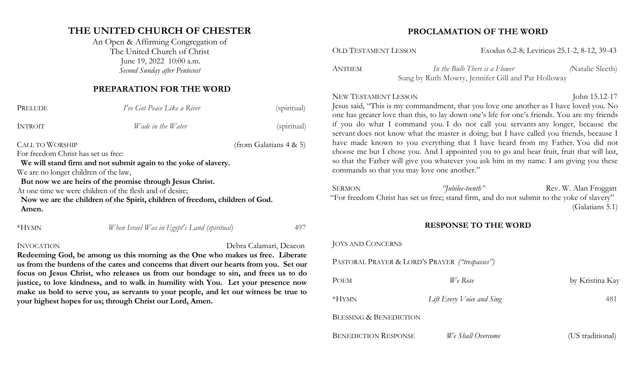### **THE UNITED CHURCH OF CHESTER**

An Open & Affirming Congregation of The United Church of Christ June 19, 2022 10:00 a.m. *Second Sunday after Pentecost*

#### **PREPARATION FOR THE WORD**

| PRELUDE                               | I've Got Peace Like a River                                                  | (spiritual)               |
|---------------------------------------|------------------------------------------------------------------------------|---------------------------|
| <b>INTROIT</b>                        | Wade in the Water                                                            | (spiritual)               |
| <b>CALL TO WORSHIP</b>                |                                                                              | (from Galatians $4 & 5$ ) |
| For freedom Christ has set us free:   |                                                                              |                           |
|                                       | We will stand firm and not submit again to the yoke of slavery.              |                           |
| We are no longer children of the law, |                                                                              |                           |
|                                       | But now we are heirs of the promise through Jesus Christ.                    |                           |
|                                       | At one time we were children of the flesh and of desire;                     |                           |
|                                       | Now we are the children of the Spirit, children of freedom, children of God. |                           |
| Amen.                                 |                                                                              |                           |
| $*HYMN$                               | When Israel Was in Egypt's Land (spiritual)                                  | 497                       |

#### INVOCATION Debra Calamari, Deacon

**Redeeming God, be among us this morning as the One who makes us free. Liberate us from the burdens of the cares and concerns that divert our hearts from you. Set our focus on Jesus Christ, who releases us from our bondage to sin, and frees us to do justice, to love kindness, and to walk in humility with You. Let your presence now make us bold to serve you, as servants to your people, and let our witness be true to your highest hopes for us; through Christ our Lord, Amen.**

#### **PROCLAMATION OF THE WORD**

OLD TESTAMENT LESSON Exodus 6.2-8; Leviticus 25.1-2, 8-12, 39-43

ANTHEM *In the Bulb There is a Flower (*Natalie Sleeth) Sung by Ruth Mowry, Jennifer Gill and Pat Holloway

### NEW TESTAMENT LESSON John 15.12-17

Jesus said, "This is my commandment, that you love one another as I have loved you. No one has greater love than this, to lay down one's life for one's friends. You are my friends if you do what I command you. I do not call you servants any longer, because the servant does not know what the master is doing; but I have called you friends, because I have made known to you everything that I have heard from my Father. You did not choose me but I chose you. And I appointed you to go and bear fruit, fruit that will last, so that the Father will give you whatever you ask him in my name. I am giving you these commands so that you may love one another."

SERMON *"Iubilee-teenth*" Rev. W. Alan Froggatt "For freedom Christ has set us free; stand firm, and do not submit to the yoke of slavery" (Galatians 5.1)

#### **RESPONSE TO THE WORD**

| <b>JOYS AND CONCERNS</b>                       |                           |                  |
|------------------------------------------------|---------------------------|------------------|
| PASTORAL PRAYER & LORD'S PRAYER ("trespasses") |                           |                  |
| POEM                                           | We Rose                   | by Kristina Kay  |
| *HYMN                                          | Lift Every Voice and Sing | 481              |
| <b>BLESSING &amp; BENEDICTION</b>              |                           |                  |
| <b>BENEDICTION RESPONSE</b>                    | We Shall Overcome         | (US traditional) |